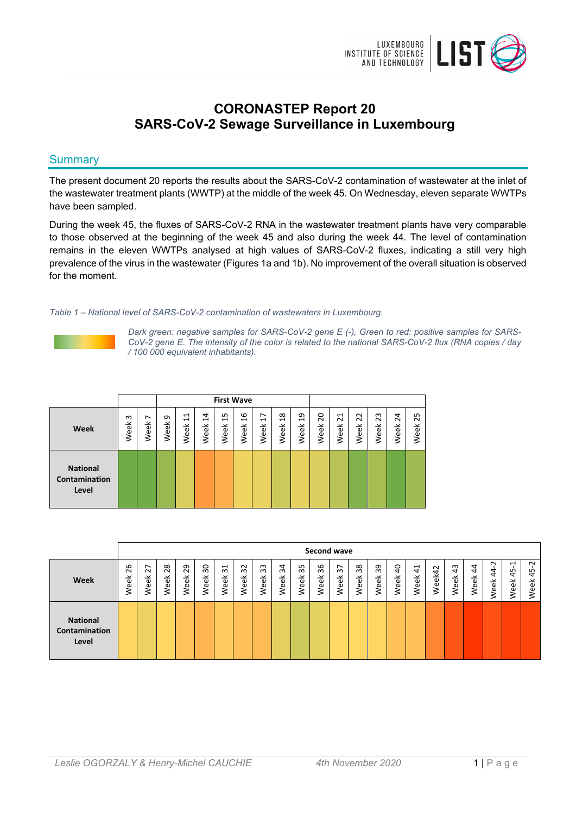

# **CORONASTEP Report 20 SARS-CoV-2 Sewage Surveillance in Luxembourg**

# **Summary**

The present document 20 reports the results about the SARS-CoV-2 contamination of wastewater at the inlet of the wastewater treatment plants (WWTP) at the middle of the week 45. On Wednesday, eleven separate WWTPs have been sampled.

During the week 45, the fluxes of SARS-CoV-2 RNA in the wastewater treatment plants have very comparable to those observed at the beginning of the week 45 and also during the week 44. The level of contamination remains in the eleven WWTPs analysed at high values of SARS-CoV-2 fluxes, indicating a still very high prevalence of the virus in the wastewater (Figures 1a and 1b). No improvement of the overall situation is observed for the moment.

*Table 1 – National level of SARS-CoV-2 contamination of wastewaters in Luxembourg.*

*Dark green: negative samples for SARS-CoV-2 gene E (-), Green to red: positive samples for SARS-CoV-2 gene E. The intensity of the color is related to the national SARS-CoV-2 flux (RNA copies / day / 100 000 equivalent inhabitants).*

|                                           |           |           |           |                                                        |                                       | <b>First Wave</b>                  |                        |                                    |                                           |                                    |                        |                          |                               |                                                 |                |                     |
|-------------------------------------------|-----------|-----------|-----------|--------------------------------------------------------|---------------------------------------|------------------------------------|------------------------|------------------------------------|-------------------------------------------|------------------------------------|------------------------|--------------------------|-------------------------------|-------------------------------------------------|----------------|---------------------|
| Week                                      | ന<br>Week | ∼<br>Week | ᡡ<br>Week | $\mathbf{\mathbf{t}}$<br>$\mathbf{\mathbf{r}}$<br>Week | 4<br>$\overline{\phantom{0}}$<br>Week | ഗ<br>$\mathbf{\mathbf{r}}$<br>Week | G<br>$\bar{ }$<br>Week | ∼<br>$\mathbf{\mathbf{r}}$<br>Week | $\infty$<br>$\mathbf{\mathbf{r}}$<br>Week | ᡡ<br>$\mathbf{\mathbf{d}}$<br>Week | 0<br>$\bar{N}$<br>Week | ⊣<br>$\sim$<br>⊻<br>Weel | $\sim$<br>$\sim$<br>⊻<br>Weel | m<br>$\sim$<br>$\overline{\phantom{a}}$<br>Weel | 4<br>Ñ<br>Week | ഗ<br>$\sim$<br>Week |
| <b>National</b><br>Contamination<br>Level |           |           |           |                                                        |                                       |                                    |                        |                                    |                                           |                                    |                        |                          |                               |                                                 |                |                     |

|                                                  | Second wave                 |                     |                            |            |            |            |                                  |            |           |            |            |                                    |                                 |                         |           |                        |        |            |           |                    |                         |                            |
|--------------------------------------------------|-----------------------------|---------------------|----------------------------|------------|------------|------------|----------------------------------|------------|-----------|------------|------------|------------------------------------|---------------------------------|-------------------------|-----------|------------------------|--------|------------|-----------|--------------------|-------------------------|----------------------------|
| Week                                             | ဖ<br>$\overline{N}$<br>Week | ∼<br>$\sim$<br>Week | $\infty$<br>$\sim$<br>Week | 29<br>Week | SO<br>Week | 31<br>Week | $\sim$<br>$\overline{m}$<br>Week | 33<br>Week | ಸ<br>Week | 35<br>Week | 36<br>Week | $\overline{ }$<br>$\infty$<br>Week | $\infty$<br>$\tilde{m}$<br>Week | თ<br>$\tilde{m}$<br>eek | ę<br>Week | $\overline{4}$<br>Week | Week42 | 43<br>Week | 4<br>Week | $\sim$<br>4<br>eek | H<br>$\ddot{4}$<br>Week | $\sim$<br>ம<br>4<br>る<br>ω |
| <b>National</b><br><b>Contamination</b><br>Level |                             |                     |                            |            |            |            |                                  |            |           |            |            |                                    |                                 |                         |           |                        |        |            |           |                    |                         |                            |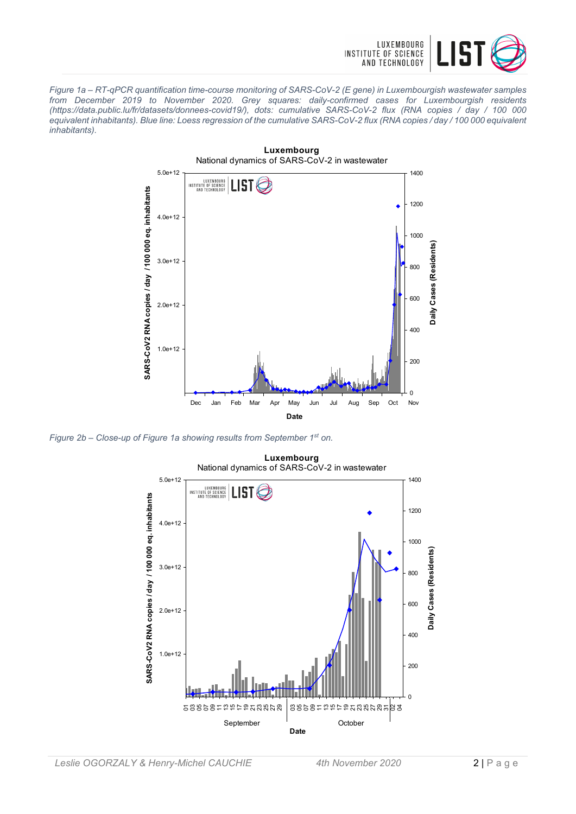

*Figure 1a – RT-qPCR quantification time-course monitoring of SARS-CoV-2 (E gene) in Luxembourgish wastewater samples from December 2019 to November 2020. Grey squares: daily-confirmed cases for Luxembourgish residents (https://data.public.lu/fr/datasets/donnees-covid19/), dots: cumulative SARS-CoV-2 flux (RNA copies / day / 100 000 equivalent inhabitants). Blue line: Loess regression of the cumulative SARS-CoV-2 flux (RNA copies / day / 100 000 equivalent inhabitants).*



*Figure 2b – Close-up of Figure 1a showing results from September 1st on.*

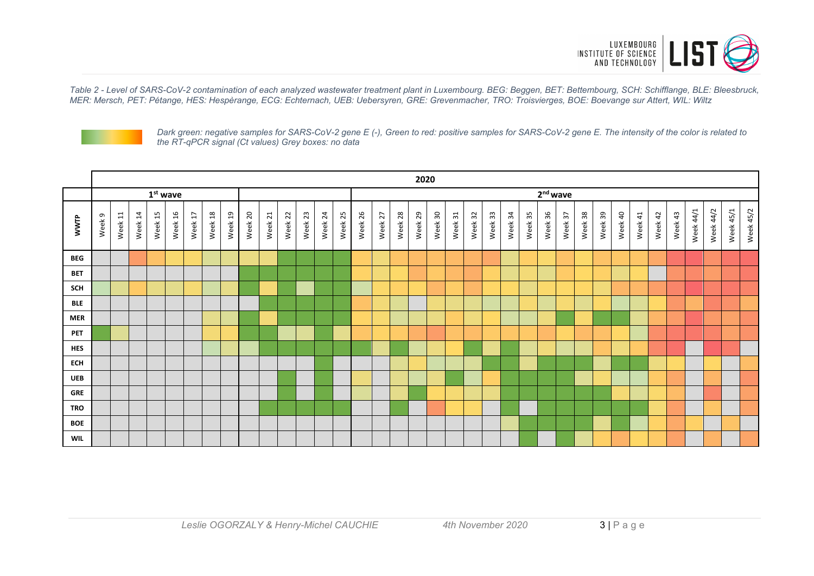

*Table 2 - Level of SARS-CoV-2 contamination of each analyzed wastewater treatment plant in Luxembourg. BEG: Beggen, BET: Bettembourg, SCH: Schifflange, BLE: Bleesbruck, MER: Mersch, PET: Pétange, HES: Hespèrange, ECG: Echternach, UEB: Uebersyren, GRE: Grevenmacher, TRO: Troisvierges, BOE: Boevange sur Attert, WIL: Wiltz*



*Dark green: negative samples for SARS-CoV-2 gene E (-), Green to red: positive samples for SARS-CoV-2 gene E. The intensity of the color is related to the RT-qPCR signal (Ct values) Grey boxes: no data*

|            | 2020   |         |         |         |            |         |         |         |         |         |         |         |         |         |         |         |         |         |         |         |         |         |         |         |                      |         |         |         |         |         |         |         |           |           |           |           |
|------------|--------|---------|---------|---------|------------|---------|---------|---------|---------|---------|---------|---------|---------|---------|---------|---------|---------|---------|---------|---------|---------|---------|---------|---------|----------------------|---------|---------|---------|---------|---------|---------|---------|-----------|-----------|-----------|-----------|
|            |        |         |         |         | $1st$ wave |         |         |         |         |         |         |         |         |         |         |         |         |         |         |         |         |         |         |         | 2 <sup>nd</sup> wave |         |         |         |         |         |         |         |           |           |           |           |
| WWTP       | Week 9 | Week 11 | Week 14 | Week 15 | Week 16    | Week 17 | Week 18 | Week 19 | Week 20 | Week 21 | Week 22 | Week 23 | Week 24 | Week 25 | Week 26 | Week 27 | Week 28 | Week 29 | Week 30 | Week 31 | Week 32 | Week 33 | Week 34 | Week 35 | Week 36              | Week 37 | Week 38 | Week 39 | Week 40 | Week 41 | Week 42 | Week 43 | Week 44/1 | Week 44/2 | Week 45/1 | Week 45/2 |
| <b>BEG</b> |        |         |         |         |            |         |         |         |         |         |         |         |         |         |         |         |         |         |         |         |         |         |         |         |                      |         |         |         |         |         |         |         |           |           |           |           |
| <b>BET</b> |        |         |         |         |            |         |         |         |         |         |         |         |         |         |         |         |         |         |         |         |         |         |         |         |                      |         |         |         |         |         |         |         |           |           |           |           |
| SCH        |        |         |         |         |            |         |         |         |         |         |         |         |         |         |         |         |         |         |         |         |         |         |         |         |                      |         |         |         |         |         |         |         |           |           |           |           |
| <b>BLE</b> |        |         |         |         |            |         |         |         |         |         |         |         |         |         |         |         |         |         |         |         |         |         |         |         |                      |         |         |         |         |         |         |         |           |           |           |           |
| <b>MER</b> |        |         |         |         |            |         |         |         |         |         |         |         |         |         |         |         |         |         |         |         |         |         |         |         |                      |         |         |         |         |         |         |         |           |           |           |           |
| <b>PET</b> |        |         |         |         |            |         |         |         |         |         |         |         |         |         |         |         |         |         |         |         |         |         |         |         |                      |         |         |         |         |         |         |         |           |           |           |           |
| <b>HES</b> |        |         |         |         |            |         |         |         |         |         |         |         |         |         |         |         |         |         |         |         |         |         |         |         |                      |         |         |         |         |         |         |         |           |           |           |           |
| <b>ECH</b> |        |         |         |         |            |         |         |         |         |         |         |         |         |         |         |         |         |         |         |         |         |         |         |         |                      |         |         |         |         |         |         |         |           |           |           |           |
| <b>UEB</b> |        |         |         |         |            |         |         |         |         |         |         |         |         |         |         |         |         |         |         |         |         |         |         |         |                      |         |         |         |         |         |         |         |           |           |           |           |
| <b>GRE</b> |        |         |         |         |            |         |         |         |         |         |         |         |         |         |         |         |         |         |         |         |         |         |         |         |                      |         |         |         |         |         |         |         |           |           |           |           |
| <b>TRO</b> |        |         |         |         |            |         |         |         |         |         |         |         |         |         |         |         |         |         |         |         |         |         |         |         |                      |         |         |         |         |         |         |         |           |           |           |           |
| <b>BOE</b> |        |         |         |         |            |         |         |         |         |         |         |         |         |         |         |         |         |         |         |         |         |         |         |         |                      |         |         |         |         |         |         |         |           |           |           |           |
| <b>WIL</b> |        |         |         |         |            |         |         |         |         |         |         |         |         |         |         |         |         |         |         |         |         |         |         |         |                      |         |         |         |         |         |         |         |           |           |           |           |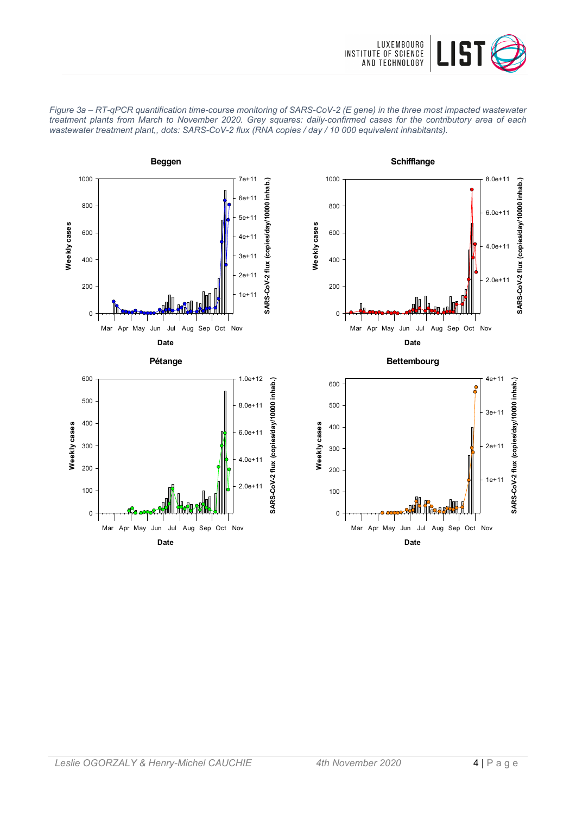













**Date**

0

100

 $1<sup>1</sup>$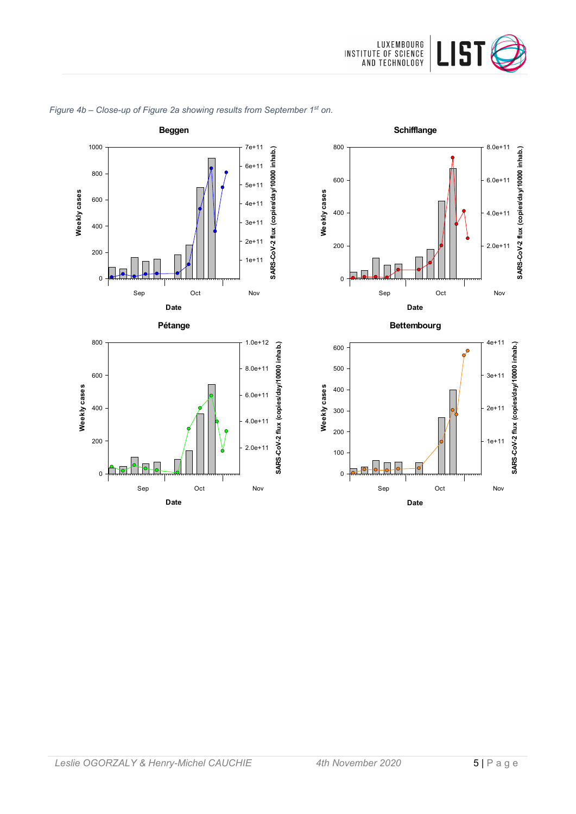



# *Figure 4b – Close-up of Figure 2a showing results from September 1st on.*



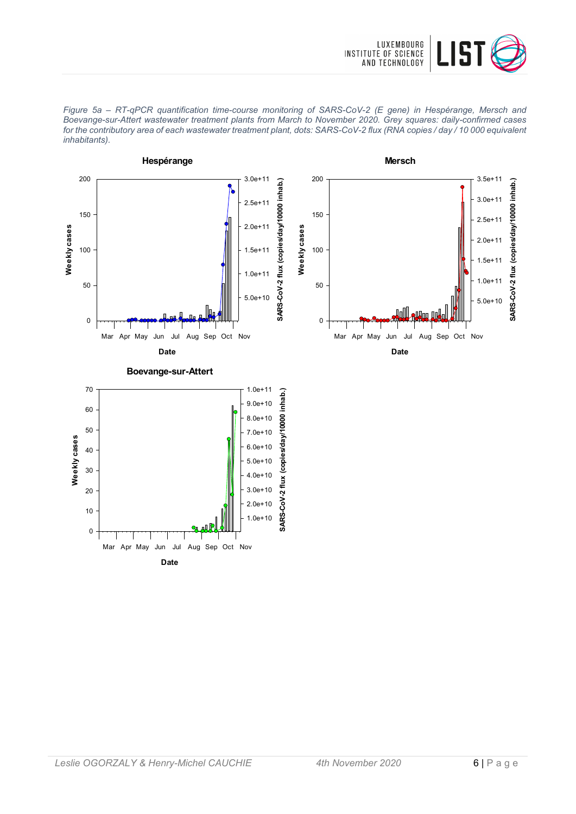

*Figure 5a – RT-qPCR quantification time-course monitoring of SARS-CoV-2 (E gene) in Hespérange, Mersch and Boevange-sur-Attert wastewater treatment plants from March to November 2020. Grey squares: daily-confirmed cases for the contributory area of each wastewater treatment plant, dots: SARS-CoV-2 flux (RNA copies / day / 10 000 equivalent inhabitants).*

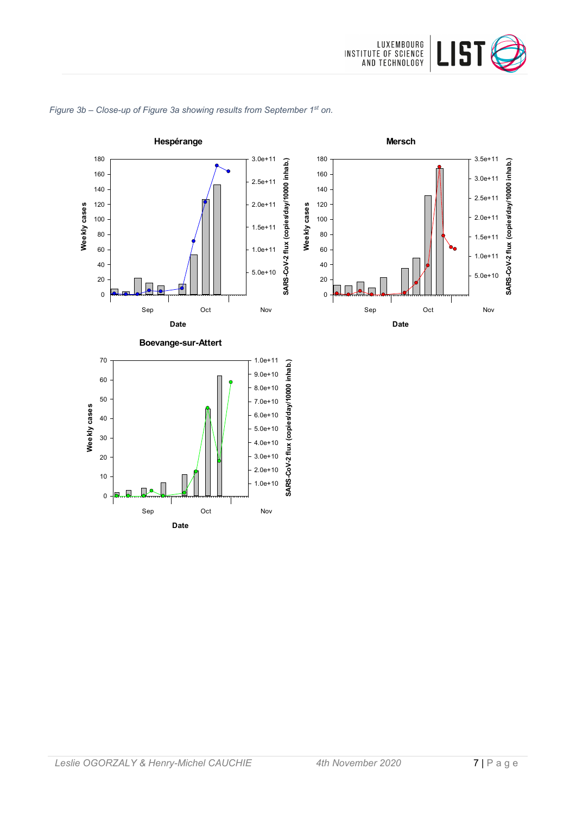



### *Figure 3b – Close-up of Figure 3a showing results from September 1st on.*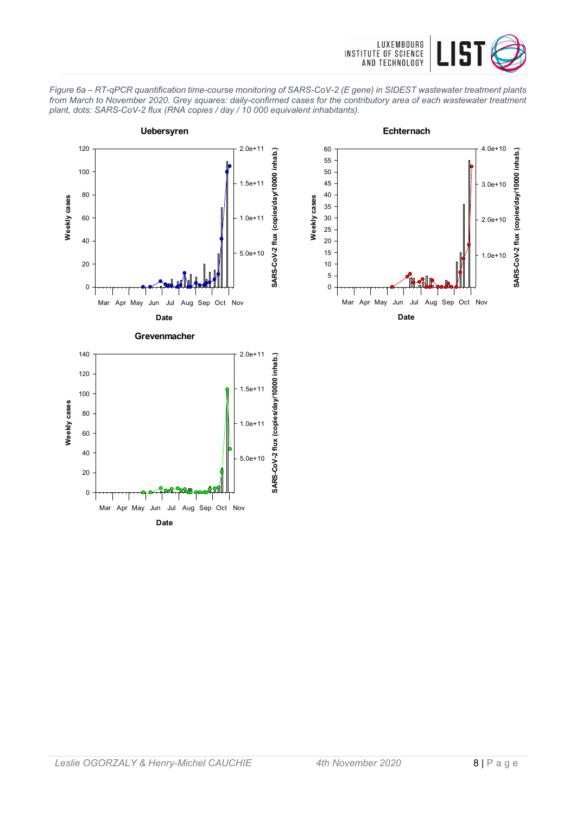

*Figure 6a – RT-qPCR quantification time-course monitoring of SARS-CoV-2 (E gene) in SIDEST wastewater treatment plants from March to November 2020. Grey squares: daily-confirmed cases for the contributory area of each wastewater treatment plant, dots: SARS-CoV-2 flux (RNA copies / day / 10 000 equivalent inhabitants).*

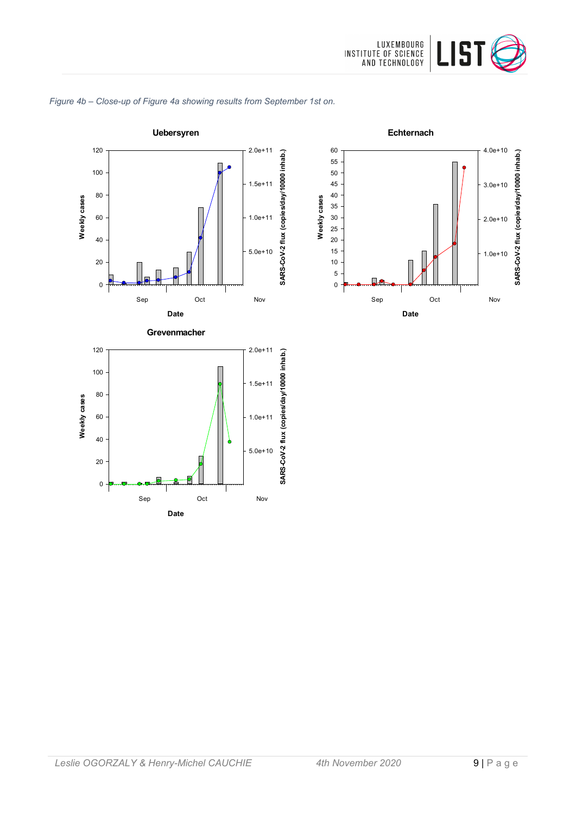





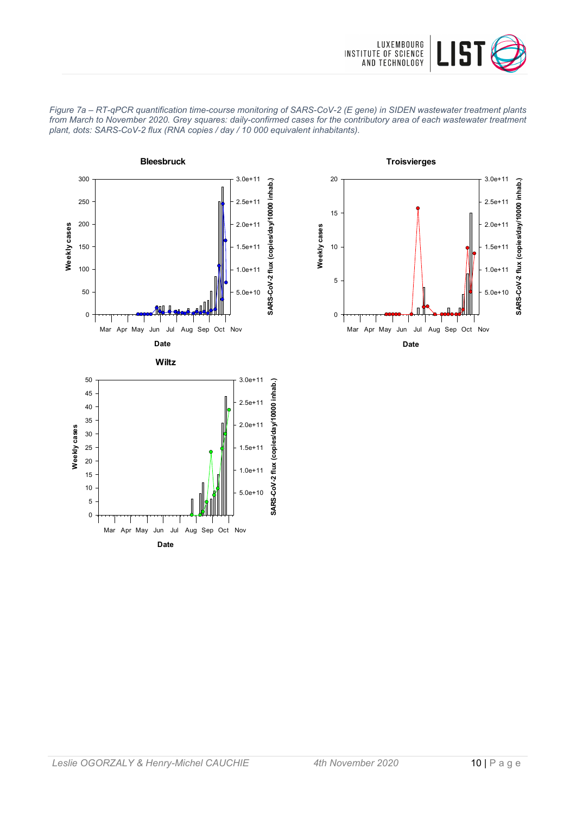





**Troisvierges** 20 3.0e+11 SARS-CoV-2 flux (copies/day/10000 inhab.) **SARS-CoV-2 flux (copies/day/10000 inhab.)** 2.5e+11 15 2.0e+11 Weekly cases **Weekly cases** 10 1.5e+11 1.0e+11 5 5.0e+10  $\overline{0}$  Mar Apr May Jun Jul Aug Sep Oct Nov **Date**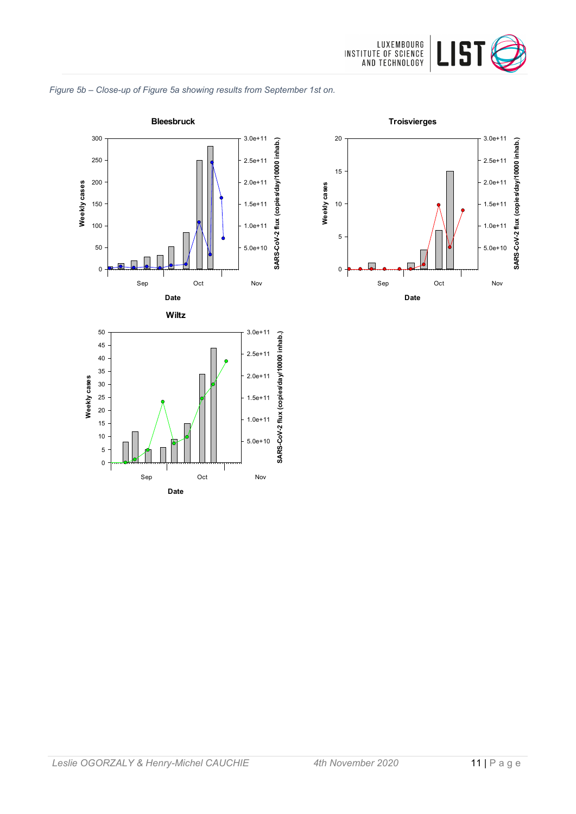

#### *Figure 5b – Close-up of Figure 5a showing results from September 1st on.*



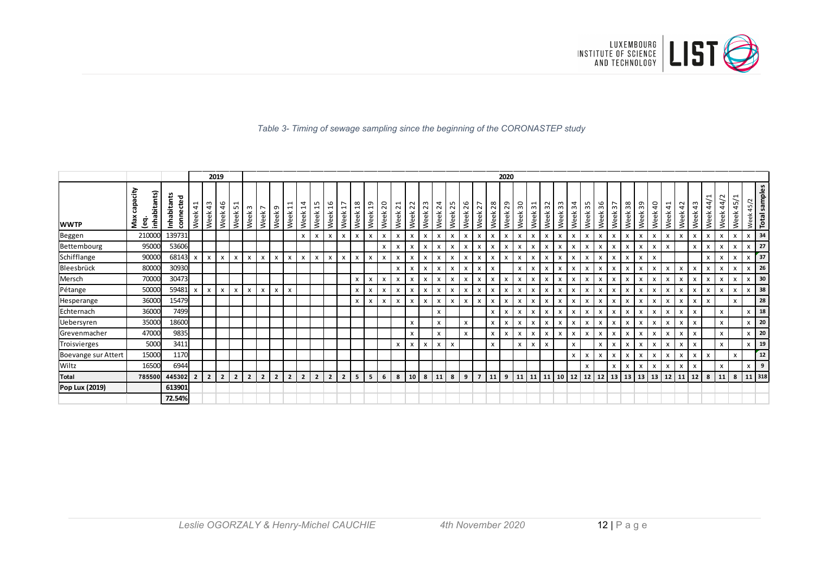

### *Table 3- Timing of sewage sampling since the beginning of the CORONASTEP study*

|                     |                                           |                                 |              |                | 2019                      |                |                  |                           |                |                             |                        |                                       |                       |                                                    |                        |                             |                        |                           |                     |            |                         |                           |                     |                                  |            | 2020                      |                           |                                                  |                             |                           |            |                           |              |                                    |                           |                           |                           |                |                     |                           |              |             |                 |                                   |               |
|---------------------|-------------------------------------------|---------------------------------|--------------|----------------|---------------------------|----------------|------------------|---------------------------|----------------|-----------------------------|------------------------|---------------------------------------|-----------------------|----------------------------------------------------|------------------------|-----------------------------|------------------------|---------------------------|---------------------|------------|-------------------------|---------------------------|---------------------|----------------------------------|------------|---------------------------|---------------------------|--------------------------------------------------|-----------------------------|---------------------------|------------|---------------------------|--------------|------------------------------------|---------------------------|---------------------------|---------------------------|----------------|---------------------|---------------------------|--------------|-------------|-----------------|-----------------------------------|---------------|
| <b>WWTP</b>         | capacity<br>inhabitants)<br>Max<br>ି<br>ବ | <b>Inhabitants</b><br>connected | 41<br>Week   | Week 43        | 46<br>Week                | ٣<br>L<br>Week | $\omega$<br>Week | $\overline{ }$<br>Week    | G<br>Week      | Н<br>$\blacksquare$<br>Week | $\overline{1}$<br>Week | Ľ<br>$\overline{\phantom{0}}$<br>Week | $\frac{6}{1}$<br>Week | $\overline{ }$<br>$\overline{\phantom{0}}$<br>Week | $\frac{8}{18}$<br>Week | ᡡ<br>$\blacksquare$<br>Week | $\overline{c}$<br>Week | $\overline{21}$<br>Week   | Z<br>$\sim$<br>Week | 23<br>Week | $\overline{24}$<br>Week | 25<br>Week                | 6<br>$\sim$<br>Week | ∼<br>$\sim$<br>Week <sup>'</sup> | 28<br>Week | 29<br>Week                | Week 30                   | $\overline{\phantom{0}}$<br>$\mathsf{c}$<br>Week | $\sim$<br>$\,$ $\,$<br>Week | m<br>$\epsilon$<br>Week   | 34<br>Week | 35<br>Week                | Week 36      | $\overline{ }$<br>$\omega$<br>Week | 38<br>Week                | Week 39                   | $\overline{4}$<br>Week    | ⊣<br>4<br>Week | $\sim$<br>4<br>Week | ന<br>4<br>Week            | 44/<br>Week  | 44/<br>Week | ᆸ<br>45<br>Week | Week 45/2<br><b>Total samples</b> |               |
| Beggen              | 210000                                    | 139731                          |              |                |                           |                |                  |                           |                |                             | $\mathsf{x}$           | $\mathsf{x}$                          | X                     | X                                                  | $\mathsf{x}$           | x                           | $\pmb{\times}$         | $\pmb{\times}$            | x                   | x          | x                       | $\mathsf{x}$              | $\mathsf{x}$        | X                                | X          | $\mathsf{x}$              | X                         | x                                                | X                           | X                         | x          | X                         | x            | $\mathsf{x}$                       | $\pmb{\chi}$              | $\pmb{\times}$            | $\boldsymbol{\mathsf{x}}$ | x              | x                   | $\mathsf{x}$              | X            | X           | $\pmb{\chi}$    | $x$ 34                            |               |
| Bettembourg         | 95000                                     | 53606                           |              |                |                           |                |                  |                           |                |                             |                        |                                       |                       |                                                    |                        |                             | $\mathsf{x}$           | $\boldsymbol{\mathsf{x}}$ | X                   | X          | x                       | $\mathsf{x}$              | x                   | $\boldsymbol{\mathsf{x}}$        | x          | X                         | $\boldsymbol{\mathsf{x}}$ | $\mathsf{x}$                                     | $\boldsymbol{\mathsf{x}}$   |                           | x          | X                         | $\mathsf{x}$ |                                    | $\boldsymbol{\mathsf{x}}$ | X                         | $\boldsymbol{\mathsf{x}}$ | x              |                     | $\mathsf{x}$              | X            | X           | X               | $\mathsf{x}$                      | 27            |
| Schifflange         | 90000                                     | 68143                           | $\mathsf{x}$ | $\mathsf{x}$   | $\mathsf{x}$              | $\mathsf{x}$   | X                | $\mathsf{x}$              | X              | $\mathsf{x}$                | $\mathsf{x}$           | X                                     | x                     | X                                                  | $\mathsf{x}$           | $\mathsf{x}$                | X                      | X                         | x                   | x          | X                       | $\mathsf{x}$              | <b>X</b>            | X                                | X          | $\boldsymbol{\mathsf{x}}$ | $\mathsf{x}$              | $\mathsf{x}$                                     | $\boldsymbol{\mathsf{x}}$   | $\boldsymbol{\mathsf{x}}$ | x          | $\mathsf{x}$              | $\mathsf{x}$ | X                                  | $\boldsymbol{\mathsf{x}}$ | $\boldsymbol{\mathsf{x}}$ | $\boldsymbol{\mathsf{x}}$ |                |                     |                           | $\mathsf{x}$ | x           | $\mathsf{x}$    | $\mathsf{x}$                      | 37            |
| Bleesbrück          | 80000                                     | 30930                           |              |                |                           |                |                  |                           |                |                             |                        |                                       |                       |                                                    |                        |                             |                        | $\pmb{\times}$            | x                   | x          | x                       | x                         | x                   | $\pmb{\times}$                   | X          |                           | X                         | x                                                | X                           | X                         | x          | x                         | x            |                                    | $\boldsymbol{\mathsf{x}}$ | X                         | X                         | x              | x                   | x                         | x            | х           | x               | $\mathbf{X}$                      | 26            |
| Mersch              | 70000                                     | 30473                           |              |                |                           |                |                  |                           |                |                             |                        |                                       |                       |                                                    | X                      |                             |                        | X                         | х                   | x          | x                       | x                         | x                   | X                                | х          | x                         | X                         | x                                                | X                           | X                         | x          | $\boldsymbol{\mathsf{x}}$ | x            |                                    | X                         | x                         | X                         | x              | x                   | X                         |              | X           | X               | $\times$ 1                        | 30            |
| Pétange             | 50000                                     | 59481                           | X            | $\mathsf{x}$   | $\boldsymbol{\mathsf{x}}$ | X              | X                | $\boldsymbol{\mathsf{x}}$ | x              | $\boldsymbol{\mathsf{x}}$   |                        |                                       |                       |                                                    | X                      | X                           | $\pmb{\times}$         | $\pmb{\times}$            | X                   | X          | $\pmb{\chi}$            | $\mathsf{x}$              | x                   | X                                | X          | $\boldsymbol{\mathsf{x}}$ | X                         | x                                                | $\pmb{\times}$              | x                         | x          | X                         | x            | x                                  | $\boldsymbol{\mathsf{x}}$ | X                         | X                         | x              | x                   | $\boldsymbol{\mathsf{x}}$ | x            | x           | $\pmb{\chi}$    | $\mathbf{I} \cdot \mathbf{X}$     | 38            |
| Hesperange          | 36000                                     | 15479                           |              |                |                           |                |                  |                           |                |                             |                        |                                       |                       |                                                    | x                      | x                           | X                      | $\pmb{\times}$            | x                   | x          | x                       | $\mathsf{x}$              | x                   | X                                | x          | X                         | $\boldsymbol{\mathsf{x}}$ | x                                                | X                           | X                         | x          | x                         | x            | x                                  | X                         | x                         | X                         | x              | X                   | $\mathsf{x}$              | $\mathsf{x}$ |             | x               |                                   | 28            |
| Echternach          | 36000                                     | 7499                            |              |                |                           |                |                  |                           |                |                             |                        |                                       |                       |                                                    |                        |                             |                        |                           |                     |            | $\mathsf{x}$            |                           |                     |                                  | X          | X                         | $\mathsf{x}$              | X                                                | X                           | X                         | x          | $\boldsymbol{\mathsf{x}}$ | x            | $\mathsf{x}$                       | $\pmb{\chi}$              | X                         | х                         | x              | x                   | $\mathsf{x}$              |              | x           |                 | $x \mid 18$                       |               |
| Uebersyren          | 35000                                     | 18600                           |              |                |                           |                |                  |                           |                |                             |                        |                                       |                       |                                                    |                        |                             |                        |                           | X                   |            | x                       |                           | <b>X</b>            |                                  | x          | X                         | x                         | X                                                | $\boldsymbol{\mathsf{x}}$   |                           | x          | X                         | $\mathsf{x}$ |                                    | X                         | x                         | X                         | x              | $\mathsf{x}$        | $\mathsf{x}$              |              | x           |                 | x                                 | 20            |
| Grevenmacher        | 47000                                     | 9835                            |              |                |                           |                |                  |                           |                |                             |                        |                                       |                       |                                                    |                        |                             |                        |                           | x                   |            | X                       |                           | <b>X</b>            |                                  | X          | x                         | $\mathsf{x}$              | x                                                | X                           | X                         | x          | x                         | x            | x                                  | X                         | x                         | X                         | x              | x                   | X                         |              | x           |                 | $x = 20$                          |               |
| Troisvierges        | 5000                                      | 3411                            |              |                |                           |                |                  |                           |                |                             |                        |                                       |                       |                                                    |                        |                             |                        | $\pmb{\times}$            | x                   | x          | x                       | $\boldsymbol{\mathsf{x}}$ |                     |                                  | X          |                           | $\mathsf{x}$              | X                                                | $\boldsymbol{\mathsf{x}}$   |                           | x          |                           | x            | X                                  | $\pmb{\chi}$              | x                         | x                         | x              | x                   | $\boldsymbol{\mathsf{x}}$ |              | X           |                 | $x$ 19                            |               |
| Boevange sur Attert | 15000                                     | 1170                            |              |                |                           |                |                  |                           |                |                             |                        |                                       |                       |                                                    |                        |                             |                        |                           |                     |            |                         |                           |                     |                                  |            |                           |                           |                                                  |                             |                           | x          | $\boldsymbol{\mathsf{x}}$ | x            | x                                  | X                         | x                         | X                         | X              | x                   | $\boldsymbol{\mathsf{x}}$ | $\mathsf{x}$ |             | X               |                                   | <sup>12</sup> |
| Wiltz               | 16500                                     | 6944                            |              |                |                           |                |                  |                           |                |                             |                        |                                       |                       |                                                    |                        |                             |                        |                           |                     |            |                         |                           |                     |                                  |            |                           |                           |                                                  |                             |                           |            | X                         |              | X                                  | X                         | X                         | X                         | x              | x                   | x                         |              | X           |                 | $\mathsf{x}$                      | 9             |
| <b>Total</b>        | 785500                                    | 445302                          |              | $\overline{2}$ | $\overline{2}$            | $\overline{2}$ | $\overline{2}$   | $\overline{2}$            | $\overline{2}$ | $\overline{2}$              | $\overline{2}$         | $\overline{2}$                        | $\overline{2}$        | $\overline{2}$                                     | 5                      | 5                           | 6                      | 8                         | 10                  | 8          | 11                      | 8                         | 9                   |                                  | 11         | 9                         | 11                        | 11                                               | 11                          | 10                        | 12         | $\vert$ 12                | 12           | 13                                 | 13                        | 13                        | 13                        | 12             | 11                  | 12                        | 8            | 11          | 8               | 11 318                            |               |
| Pop Lux (2019)      |                                           | 613901                          |              |                |                           |                |                  |                           |                |                             |                        |                                       |                       |                                                    |                        |                             |                        |                           |                     |            |                         |                           |                     |                                  |            |                           |                           |                                                  |                             |                           |            |                           |              |                                    |                           |                           |                           |                |                     |                           |              |             |                 |                                   |               |
|                     |                                           | 72.54%                          |              |                |                           |                |                  |                           |                |                             |                        |                                       |                       |                                                    |                        |                             |                        |                           |                     |            |                         |                           |                     |                                  |            |                           |                           |                                                  |                             |                           |            |                           |              |                                    |                           |                           |                           |                |                     |                           |              |             |                 |                                   |               |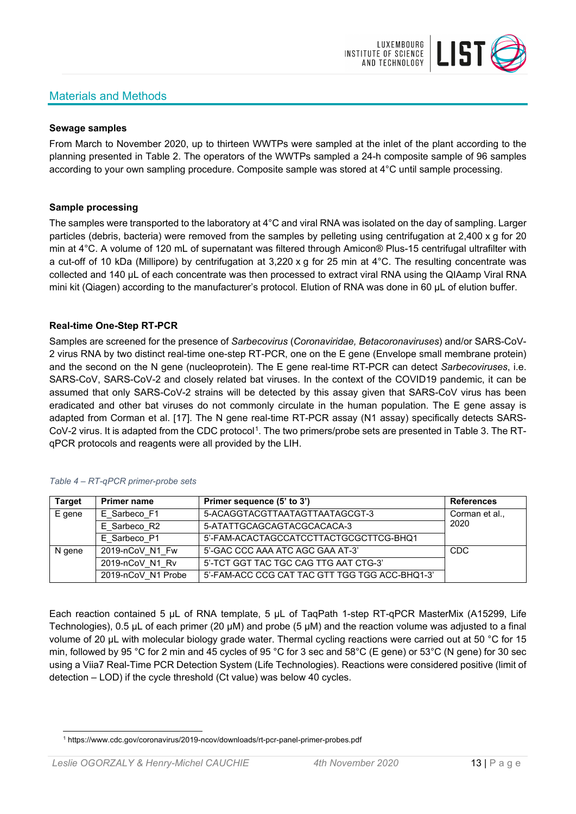# Materials and Methods



### **Sewage samples**

From March to November 2020, up to thirteen WWTPs were sampled at the inlet of the plant according to the planning presented in Table 2. The operators of the WWTPs sampled a 24-h composite sample of 96 samples according to your own sampling procedure. Composite sample was stored at 4°C until sample processing.

### **Sample processing**

The samples were transported to the laboratory at 4°C and viral RNA was isolated on the day of sampling. Larger particles (debris, bacteria) were removed from the samples by pelleting using centrifugation at 2,400 x g for 20 min at 4°C. A volume of 120 mL of supernatant was filtered through Amicon® Plus-15 centrifugal ultrafilter with a cut-off of 10 kDa (Millipore) by centrifugation at 3,220 x g for 25 min at 4°C. The resulting concentrate was collected and 140 µL of each concentrate was then processed to extract viral RNA using the QIAamp Viral RNA mini kit (Qiagen) according to the manufacturer's protocol. Elution of RNA was done in 60 μL of elution buffer.

### **Real-time One-Step RT-PCR**

Samples are screened for the presence of *Sarbecovirus* (*Coronaviridae, Betacoronaviruses*) and/or SARS-CoV-2 virus RNA by two distinct real-time one-step RT-PCR, one on the E gene (Envelope small membrane protein) and the second on the N gene (nucleoprotein). The E gene real-time RT-PCR can detect *Sarbecoviruses*, i.e. SARS-CoV, SARS-CoV-2 and closely related bat viruses. In the context of the COVID19 pandemic, it can be assumed that only SARS-CoV-2 strains will be detected by this assay given that SARS-CoV virus has been eradicated and other bat viruses do not commonly circulate in the human population. The E gene assay is adapted from Corman et al. [17]. The N gene real-time RT-PCR assay (N1 assay) specifically detects SARS-CoV-2 virus. It is adapted from the CDC protocol[1](#page-12-0). The two primers/probe sets are presented in Table 3. The RTqPCR protocols and reagents were all provided by the LIH.

| <b>Target</b> | <b>Primer name</b> | Primer sequence (5' to 3')                     | <b>References</b> |
|---------------|--------------------|------------------------------------------------|-------------------|
| E gene        | E Sarbeco F1       | 5-ACAGGTACGTTAATAGTTAATAGCGT-3                 | Corman et al.,    |
|               | E Sarbeco R2       | 5-ATATTGCAGCAGTACGCACACA-3                     | 2020              |
|               | E Sarbeco P1       | 5'-FAM-ACACTAGCCATCCTTACTGCGCTTCG-BHQ1         |                   |
| N gene        | 2019-nCoV N1 Fw    | 5'-GAC CCC AAA ATC AGC GAA AT-3'               | <b>CDC</b>        |
|               | 2019-nCoV N1 Rv    | 5'-TCT GGT TAC TGC CAG TTG AAT CTG-3'          |                   |
|               | 2019-nCoV N1 Probe | 5'-FAM-ACC CCG CAT TAC GTT TGG TGG ACC-BHQ1-3' |                   |

#### *Table 4 – RT-qPCR primer-probe sets*

Each reaction contained 5 μL of RNA template, 5 μL of TaqPath 1-step RT-qPCR MasterMix (A15299, Life Technologies), 0.5 µL of each primer (20 µM) and probe (5 µM) and the reaction volume was adjusted to a final volume of 20 μL with molecular biology grade water. Thermal cycling reactions were carried out at 50 °C for 15 min, followed by 95 °C for 2 min and 45 cycles of 95 °C for 3 sec and 58°C (E gene) or 53°C (N gene) for 30 sec using a Viia7 Real-Time PCR Detection System (Life Technologies). Reactions were considered positive (limit of detection – LOD) if the cycle threshold (Ct value) was below 40 cycles.

<span id="page-12-0"></span><sup>1</sup> https://www.cdc.gov/coronavirus/2019-ncov/downloads/rt-pcr-panel-primer-probes.pdf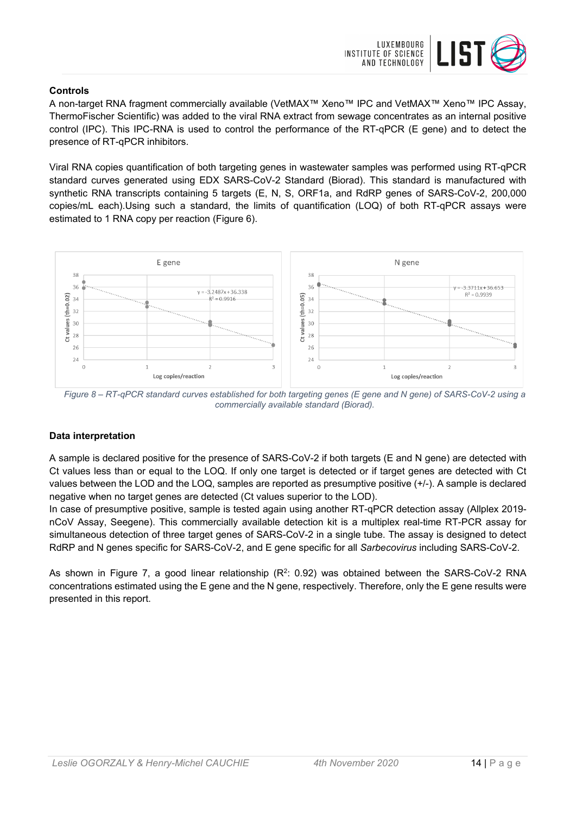

## **Controls**

A non-target RNA fragment commercially available (VetMAX™ Xeno™ IPC and VetMAX™ Xeno™ IPC Assay, ThermoFischer Scientific) was added to the viral RNA extract from sewage concentrates as an internal positive control (IPC). This IPC-RNA is used to control the performance of the RT-qPCR (E gene) and to detect the presence of RT-qPCR inhibitors.

Viral RNA copies quantification of both targeting genes in wastewater samples was performed using RT-qPCR standard curves generated using EDX SARS-CoV-2 Standard (Biorad). This standard is manufactured with synthetic RNA transcripts containing 5 targets (E, N, S, ORF1a, and RdRP genes of SARS-CoV-2, 200,000 copies/mL each).Using such a standard, the limits of quantification (LOQ) of both RT-qPCR assays were estimated to 1 RNA copy per reaction (Figure 6).



*Figure 8 – RT-qPCR standard curves established for both targeting genes (E gene and N gene) of SARS-CoV-2 using a commercially available standard (Biorad).*

# **Data interpretation**

A sample is declared positive for the presence of SARS-CoV-2 if both targets (E and N gene) are detected with Ct values less than or equal to the LOQ. If only one target is detected or if target genes are detected with Ct values between the LOD and the LOQ, samples are reported as presumptive positive (+/-). A sample is declared negative when no target genes are detected (Ct values superior to the LOD).

In case of presumptive positive, sample is tested again using another RT-qPCR detection assay (Allplex 2019 nCoV Assay, Seegene). This commercially available detection kit is a multiplex real-time RT-PCR assay for simultaneous detection of three target genes of SARS-CoV-2 in a single tube. The assay is designed to detect RdRP and N genes specific for SARS-CoV-2, and E gene specific for all *Sarbecovirus* including SARS-CoV-2.

As shown in Figure 7, a good linear relationship  $(R^2: 0.92)$  was obtained between the SARS-CoV-2 RNA concentrations estimated using the E gene and the N gene, respectively. Therefore, only the E gene results were presented in this report.